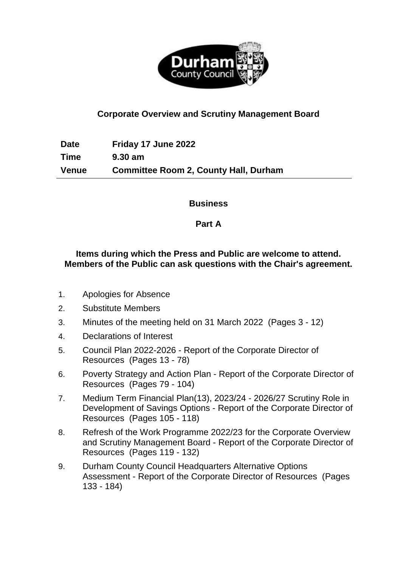

# **Corporate Overview and Scrutiny Management Board**

**Date Friday 17 June 2022 Time 9.30 am Venue Committee Room 2, County Hall, Durham**

### **Business**

**Part A**

## **Items during which the Press and Public are welcome to attend. Members of the Public can ask questions with the Chair's agreement.**

- 1. Apologies for Absence
- 2. Substitute Members
- 3. Minutes of the meeting held on 31 March 2022(Pages 3 12)
- 4. Declarations of Interest
- 5. Council Plan 2022-2026 Report of the Corporate Director of Resources(Pages 13 - 78)
- 6. Poverty Strategy and Action Plan Report of the Corporate Director of Resources(Pages 79 - 104)
- 7. Medium Term Financial Plan(13), 2023/24 2026/27 Scrutiny Role in Development of Savings Options - Report of the Corporate Director of Resources(Pages 105 - 118)
- 8. Refresh of the Work Programme 2022/23 for the Corporate Overview and Scrutiny Management Board - Report of the Corporate Director of Resources(Pages 119 - 132)
- 9. Durham County Council Headquarters Alternative Options Assessment - Report of the Corporate Director of Resources(Pages 133 - 184)